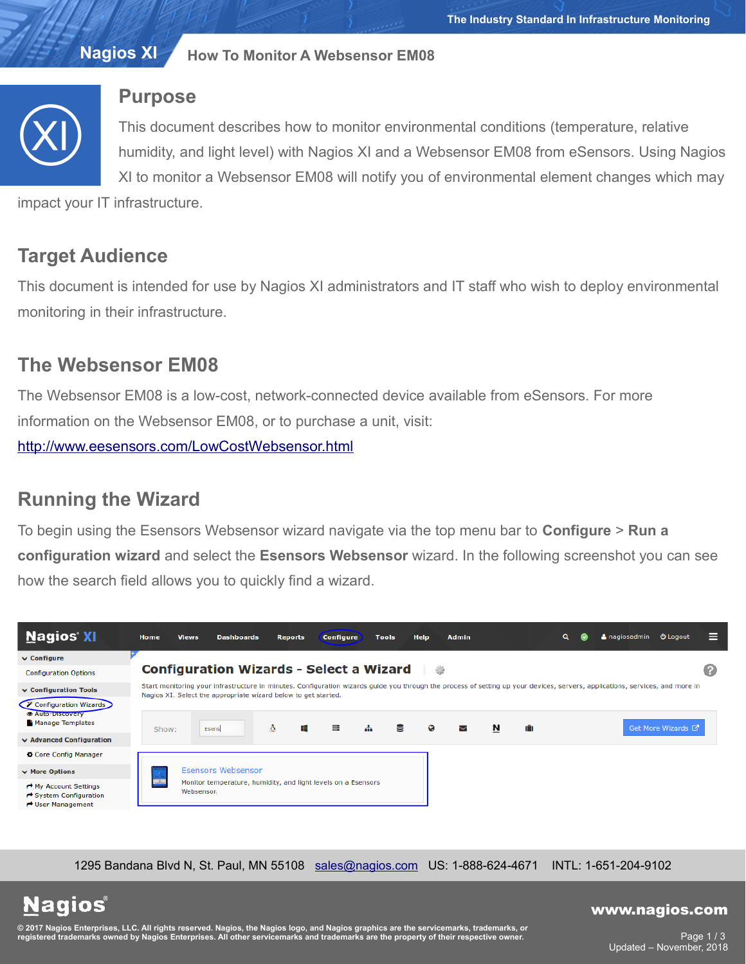#### **Nagios XI How To Monitor A Websensor EM08**



## **Purpose**

This document describes how to monitor environmental conditions (temperature, relative humidity, and light level) with Nagios XI and a Websensor EM08 from eSensors. Using Nagios XI to monitor a Websensor EM08 will notify you of environmental element changes which may

impact your IT infrastructure.

# **Target Audience**

This document is intended for use by Nagios XI administrators and IT staff who wish to deploy environmental monitoring in their infrastructure.

## **The Websensor EM08**

The Websensor EM08 is a low-cost, network-connected device available from eSensors. For more information on the Websensor EM08, or to purchase a unit, visit: <http://www.eesensors.com/LowCostWebsensor.html>

# **Running the Wizard**

To begin using the Esensors Websensor wizard navigate via the top menu bar to **Configure** > **Run a configuration wizard** and select the **Esensors Websensor** wizard. In the following screenshot you can see how the search field allows you to quickly find a wizard.

| Home                                                                                                                                                                          |       |                       |                        |                                                                                            |                                   |                   |                                                                         |                   |   | Q                     | <b>U</b> Logout | ≡                                   |
|-------------------------------------------------------------------------------------------------------------------------------------------------------------------------------|-------|-----------------------|------------------------|--------------------------------------------------------------------------------------------|-----------------------------------|-------------------|-------------------------------------------------------------------------|-------------------|---|-----------------------|-----------------|-------------------------------------|
|                                                                                                                                                                               |       |                       |                        |                                                                                            |                                   |                   |                                                                         |                   |   |                       |                 |                                     |
| Start monitoring your infrastructure in minutes. Configuration wizards guide you through the process of setting up your devices, servers, applications, services, and more in |       |                       |                        |                                                                                            |                                   |                   |                                                                         |                   |   |                       |                 |                                     |
|                                                                                                                                                                               |       |                       |                        |                                                                                            |                                   |                   |                                                                         |                   |   | Configuration Wizards |                 |                                     |
|                                                                                                                                                                               |       |                       |                        |                                                                                            |                                   |                   |                                                                         |                   |   |                       |                 |                                     |
|                                                                                                                                                                               |       |                       |                        |                                                                                            |                                   |                   |                                                                         |                   |   |                       |                 |                                     |
|                                                                                                                                                                               |       |                       |                        |                                                                                            |                                   |                   |                                                                         |                   |   |                       |                 |                                     |
| <b>Esensors Websensor</b>                                                                                                                                                     |       |                       |                        |                                                                                            |                                   |                   |                                                                         |                   |   |                       |                 |                                     |
| Monitor temperature, humidity, and light levels on a Esensors<br>Websensor.                                                                                                   |       |                       |                        |                                                                                            |                                   |                   |                                                                         |                   |   |                       |                 |                                     |
|                                                                                                                                                                               | Show: | <b>Views</b><br>Esens | <b>Dashboards</b><br>Δ | <b>Reports</b><br>Nagios XI. Select the appropriate wizard below to get started.<br>₩<br>≘ | <b>Configure</b><br>$\frac{1}{2}$ | <b>Tools</b><br>9 | <b>Help</b><br><b>Configuration Wizards - Select a Wizard</b><br>瓣<br>Ø | <b>Admin</b><br>S | N | n                     |                 | a nagiosadmin<br>Get More Wizards C |

1295 Bandana Blvd N, St. Paul, MN 55108 [sales@nagios.com](mailto:sales@nagios.com) US: 1-888-624-4671 INTL: 1-651-204-9102

**Nagios®** 

### [www.nagios.com](https://www.nagios.com/)

© 2017 Nagios Enterprises, LLC. All rights reserved. Nagios, the Nagios logo, and Nagios graphics are the servicemarks, trademarks, or<br>registered trademarks owned by Nagios Enterprises. All other servicemarks and trademark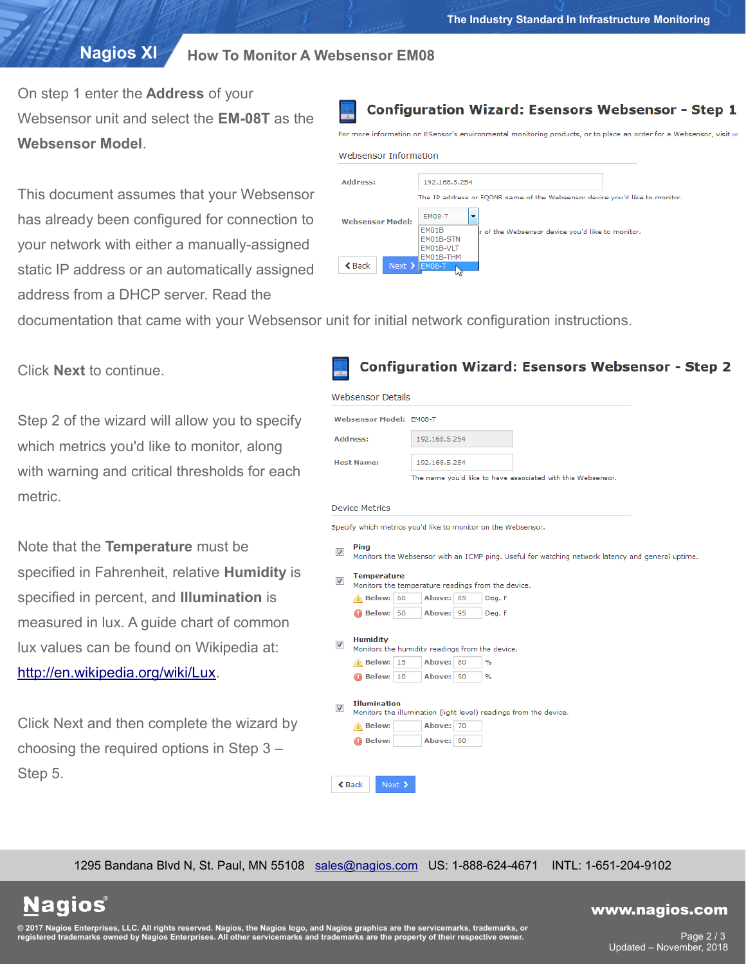#### **Nagios XI How To Monitor A Websensor EM08**

On step 1 enter the **Address** of your Websensor unit and select the **EM-08T** as the **Websensor Model**.

This document assumes that your Websensor has already been configured for connection to your network with either a manually-assigned static IP address or an automatically assigned address from a DHCP server. Read the

### **Configuration Wizard: Esensors Websensor - Step 1**

For more information on ESensor's environmental monitoring products, or to place an order for a Websensor, visit w

| Websensor Information   |                                                                           |
|-------------------------|---------------------------------------------------------------------------|
| Address:                | 192.168.5.254                                                             |
|                         | The IP address or FODNS name of the Websensor device you'd like to monito |
| <b>Websensor Model:</b> | <b>EM08-T</b><br>$\overline{\phantom{a}}$                                 |
|                         | EM01B<br>r of the Websensor device you'd like to monitor.<br>EM01B-STN    |
|                         | EM01B-VLT<br>EM01B-THM                                                    |
| $&$ Back                | Next $\blacktriangleright$ EM08-T                                         |

documentation that came with your Websensor unit for initial network configuration instructions.

Click **Next** to continue.

Step 2 of the wizard will allow you to specify which metrics you'd like to monitor, along with warning and critical thresholds for each metric.

Note that the **Temperature** must be specified in Fahrenheit, relative **Humidity** is specified in percent, and **Illumination** is measured in lux. A guide chart of common lux values can be found on Wikipedia at: [http://en.wikipedia.org/wiki/Lux.](http://en.wikipedia.org/wiki/Lux)

Click Next and then complete the wizard by choosing the required options in Step 3 – Step 5.

## **Configuration Wizard: Esensors Websensor - Step 2**

#### **Websensor Details**

|                         | <b>Websensor Model: EM08-T</b>                                           |                                                                                           |  |  |  |  |  |  |  |  |
|-------------------------|--------------------------------------------------------------------------|-------------------------------------------------------------------------------------------|--|--|--|--|--|--|--|--|
|                         | Address:                                                                 | 192.168.5.254                                                                             |  |  |  |  |  |  |  |  |
|                         | <b>Host Name:</b>                                                        | 192.168.5.254                                                                             |  |  |  |  |  |  |  |  |
|                         |                                                                          | The name you'd like to have associated with this Websensor.                               |  |  |  |  |  |  |  |  |
|                         | Device Metrics                                                           |                                                                                           |  |  |  |  |  |  |  |  |
|                         |                                                                          | Specify which metrics you'd like to monitor on the Websensor.                             |  |  |  |  |  |  |  |  |
| $\overline{\mathsf{v}}$ | Ping                                                                     | Monitors the Websensor with an ICMP ping. Useful for watching network latency and general |  |  |  |  |  |  |  |  |
| $\overline{\mathsf{v}}$ | <b>Temperature</b><br>Monitors the temperature readings from the device. |                                                                                           |  |  |  |  |  |  |  |  |
|                         | <b>Below:</b><br>60                                                      | Above: 85<br>Deg. F                                                                       |  |  |  |  |  |  |  |  |
|                         | <b>Below:</b> 50                                                         | Above: 95<br>Deg. F                                                                       |  |  |  |  |  |  |  |  |
| $\blacktriangledown$    | <b>Humidity</b>                                                          | Monitors the humidity readings from the device.                                           |  |  |  |  |  |  |  |  |
|                         | <b>A</b> Below:<br>15                                                    | $\frac{9}{6}$<br>Above:<br>80                                                             |  |  |  |  |  |  |  |  |
|                         | <b>Below:</b> 10                                                         | Above: 90<br>%                                                                            |  |  |  |  |  |  |  |  |
| $\blacktriangledown$    | <b>Illumination</b>                                                      | Monitors the illumination (light level) readings from the device.                         |  |  |  |  |  |  |  |  |
|                         | <b>Below:</b>                                                            | Above:<br>-70                                                                             |  |  |  |  |  |  |  |  |
|                         | <b>Below:</b>                                                            | Above: 80                                                                                 |  |  |  |  |  |  |  |  |
|                         |                                                                          |                                                                                           |  |  |  |  |  |  |  |  |
|                         | <b>く</b> Back<br>Next >                                                  |                                                                                           |  |  |  |  |  |  |  |  |

1295 Bandana Blvd N, St. Paul, MN 55108 [sales@nagios.com](mailto:sales@nagios.com) US: 1-888-624-4671 INTL: 1-651-204-9102

**Nagios**®

#### [www.nagios.com](https://www.nagios.com/)

© 2017 Nagios Enterprises, LLC. All rights reserved. Nagios, the Nagios logo, and Nagios graphics are the servicemarks, trademarks, or<br>registered trademarks owned by Nagios Enterprises. All other servicemarks and trademark

uptime.